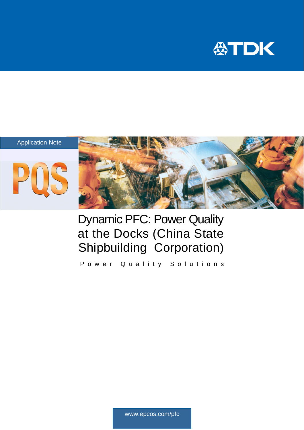

## Application Note





# Dynamic PFC: Power Quality at the Docks (China State Shipbuilding Corporation)

Power Quality Solutions

www.epcos.com/pfc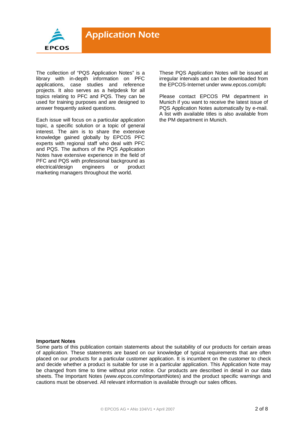

The collection of "PQS Application Notes" is a library with in-depth information on PFC applications, case studies and reference projects. It also serves as a helpdesk for all topics relating to PFC and PQS. They can be used for training purposes and are designed to answer frequently asked questions.

Each issue will focus on a particular application topic, a specific solution or a topic of general interest. The aim is to share the extensive knowledge gained globally by EPCOS PFC experts with regional staff who deal with PFC and PQS. The authors of the PQS Application Notes have extensive experience in the field of PFC and PQS with professional background as<br>electrical/design engineers or product electrical/design engineers or marketing managers throughout the world.

These PQS Application Notes will be issued at irregular intervals and can be downloaded from the EPCOS-Internet under www.epcos.com/pfc

Please contact EPCOS PM department in Munich if you want to receive the latest issue of PQS Application Notes automatically by e-mail. A list with available titles is also available from the PM department in Munich.

#### **Important Notes**

Some parts of this publication contain statements about the suitability of our products for certain areas of application. These statements are based on our knowledge of typical requirements that are often placed on our products for a particular customer application. It is incumbent on the customer to check and decide whether a product is suitable for use in a particular application. This Application Note may be changed from time to time without prior notice. Our products are described in detail in our data sheets. The Important Notes (www.epcos.com/ImportantNotes) and the product specific warnings and cautions must be observed. All relevant information is available through our sales offices.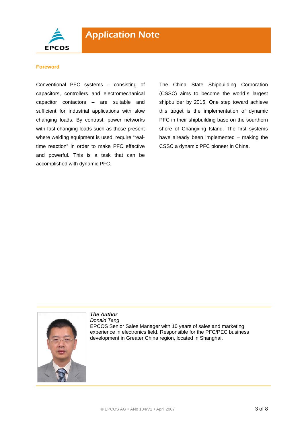

#### **Foreword**

Conventional PFC systems – consisting of capacitors, controllers and electromechanical capacitor contactors – are suitable and sufficient for industrial applications with slow changing loads. By contrast, power networks with fast-changing loads such as those present where welding equipment is used, require "realtime reaction" in order to make PFC effective and powerful. This is a task that can be accomplished with dynamic PFC.

The China State Shipbuilding Corporation (CSSC) aims to become the world´s largest shipbuilder by 2015. One step toward achieve this target is the implementation of dynamic PFC in their shipbuilding base on the sourthern shore of Changxing Island. The first systems have already been implemented – making the CSSC a dynamic PFC pioneer in China.



# *The Author Donald Tang*

EPCOS Senior Sales Manager with 10 years of sales and marketing experience in electronics field. Responsible for the PFC/PEC business development in Greater China region, located in Shanghai.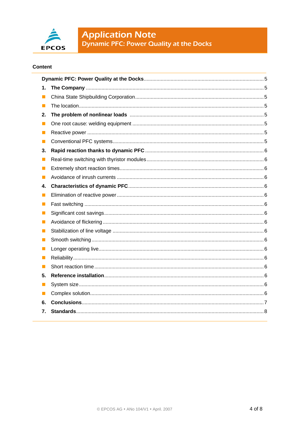

**Application Note**<br>Dynamic PFC: Power Quality at the Docks

# **Content**

| 1.             |  |  |  |  |
|----------------|--|--|--|--|
| Ш              |  |  |  |  |
| Ш              |  |  |  |  |
| 2.             |  |  |  |  |
| $\blacksquare$ |  |  |  |  |
| l.             |  |  |  |  |
| П              |  |  |  |  |
| З.             |  |  |  |  |
| ш              |  |  |  |  |
| Ш              |  |  |  |  |
| ш              |  |  |  |  |
| 4.             |  |  |  |  |
| ш              |  |  |  |  |
| ш              |  |  |  |  |
| Ш              |  |  |  |  |
| $\blacksquare$ |  |  |  |  |
| Ш              |  |  |  |  |
| ш              |  |  |  |  |
| Ш              |  |  |  |  |
| Ш              |  |  |  |  |
| ш              |  |  |  |  |
| 5.             |  |  |  |  |
| H              |  |  |  |  |
| ш              |  |  |  |  |
| 6.             |  |  |  |  |
| 7.             |  |  |  |  |
|                |  |  |  |  |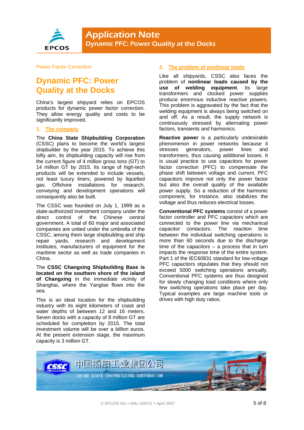

#### Power Factor Correction

# **Dynamic PFC: Power Quality at the Docks**

China's largest shipyard relies on EPCOS products for dynamic power factor correction. They allow energy quality and costs to be significantly improved.

#### **1. The company**

The **China State Shipbuilding Corporation** (CSSC) plans to become the world's largest shipbuilder by the year 2015. To achieve this lofty aim, its shipbuilding capacity will rise from the current figure of 4 million gross tons (GT) to 14 million GT by 2015. Its range of high-tech products will be extended to include vessels, not least luxury liners, powered by liquefied gas. Offshore installations for research, conveying and development operations will consequently also be built.

The CSSC was founded on July 1, 1999 as a state-authorized investment company under the direct control of the Chinese central government. A total of 60 major and associated companies are united under the umbrella of the CSSC, among them large shipbuilding and ship repair yards, research and development institutes, manufacturers of equipment for the maritime sector as well as trade companies in China.

The **CSSC Changxing Shipbuilding Base is located on the southern shore of the island of Changxing** in the immediate vicinity of Shanghai, where the Yangtse flows into the sea.

This is an ideal location for the shipbuilding industry with its eight kilometers of coast and water depths of between 12 and 16 meters. Seven docks with a capacity of 8 million GT are scheduled for completion by 2015. The total investment volume will be over a billion euros. At the present extension stage, the maximum capacity is 3 million GT.

# **2. The problem of nonlinear loads**

Like all shipyards, CSSC also faces the problem of **nonlinear loads caused by the use of welding equipment**. Its large transformers and clocked power supplies produce enormous inductive reactive powers. This problem is aggravated by the fact that the welding equipment is always being switched on and off. As a result, the supply network is continuously stressed by alternating power factors, transients and harmonics.

**Reactive power** is a particularly undesirable phenomenon in power networks because it stresses generators, power lines and transformers, thus causing additional losses. It is usual practice to use capacitors for power factor correction (PFC) to compensate the phase shift between voltage and current. PFC capacitors improve not only the power factor but also the overall quality of the available power supply. So a reduction of the harmonic component, for instance, also stabilizes the voltage and thus reduces electrical losses.

**Conventional PFC systems** consist of a power factor controller and PFC capacitors which are connected to the power line via mechanical capacitor contactors. The reaction time between the individual switching operations is more than 60 seconds due to the discharge time of the capacitors – a process that in turn impacts the response time of the entire system. Part 1 of the IEC60831 standard for low-voltage PFC capacitors stipulates that they should not exceed 5000 switching operations annually. Conventional PFC systems are thus designed for slowly changing load conditions where only few switching operations take place per day. Typical examples are large machine tools or drives with high duty ratios.

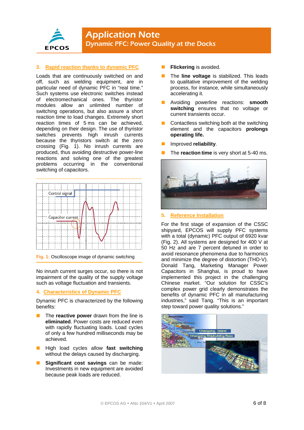

# **3. Rapid reaction thanks to dynamic PFC**

Loads that are continuously switched on and off, such as welding equipment, are in particular need of dynamic PFC in "real time." Such systems use electronic switches instead of electromechanical ones. The thyristor modules allow an unlimited number of switching operations, but also assure a short reaction time to load changes. Extremely short reaction times of 5 ms can be achieved, depending on their design. The use of thyristor switches prevents high inrush currents because the thyristors switch at the zero crossing (Fig. 1). No inrush currents are produced, thus avoiding destructive power-line reactions and solving one of the greatest problems occurring in the conventional switching of capacitors.



**Fig. 1:** Oscilloscope image of dynamic switching

No inrush current surges occur, so there is not impairment of the quality of the supply voltage such as voltage fluctuation and transients.

## **4. Characteristics of Dynamic PFC**

Dynamic PFC is characterized by the following benefits:

- The **reactive power** drawn from the line is **eliminated**. Power costs are reduced even with rapidly fluctuating loads. Load cycles of only a few hundred milliseconds may be achieved.
- High load cycles allow **fast switching** without the delays caused by discharging.
- **Significant cost savings** can be made: Investments in new equipment are avoided because peak loads are reduced.
- **Flickering** is avoided.
- The **line voltage** is stabilized. This leads to qualitative improvement of the welding process, for instance, while simultaneously accelerating it.
- Avoiding powerline reactions: **smooth switching** ensures that no voltage or current transients occur.
- Contactless switching both at the switching element and the capacitors **prolongs operating life.**
- Improved **reliability**.
- The **reaction time** is very short at 5-40 ms.



### **5. Reference Installation**

For the first stage of expansion of the CSSC shipyard, EPCOS will supply PFC systems with a total (dynamic) PFC output of 6920 kvar (Fig. 2). All systems are designed for 400 V at 50 Hz and are 7 percent detuned in order to avoid resonance phenomena due to harmonics and minimize the degree of distortion (THD-V). Donald Tang, Marketing Manager Power Capacitors in Shanghai, is proud to have implemented this project in the challenging Chinese market. "Our solution for CSSC's complex power grid clearly demonstrates the benefits of dynamic PFC in all manufacturing industries," said Tang. "This is an important step toward power quality solutions."

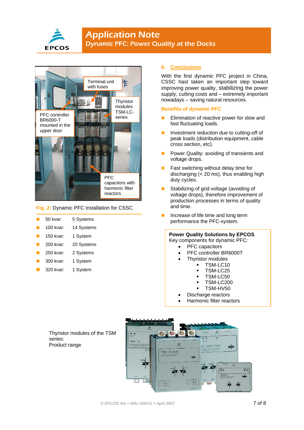

# **Application Note** Dynamic PFC: Power Quality at the Docks



#### **Fig. 2:** Dynamic PFC installation for CSSC

| 50 kvar: | 5 Systems |
|----------|-----------|
|          |           |

| 100 kvar: | 14 Systems |
|-----------|------------|
|           |            |

- 150 kvar: 1 System
- 200 kvar: 20 Systems
- 250 kvar: 2 Systems
- 300 kvar: 1 System
- 320 kvar: 1 System

series: Product range

#### **6. Conclusions**

With the first dynamic PFC project in China, CSSC hast taken an important step toward improving power quality, stabilizing the power supply, cutting costs and – extremely important nowadays – saving natural resources.

### **Benefits of dynamic PFC**

- **Elimination of reactive power for slow and** fast fluctuating loads.
- **Investment reduction due to cutting-off of** peak loads (distribution equipment, cable cross section, etc).
- **Power Quality: avoiding of transients and** voltage drops.
- **Fast switching without delay time for** discharging  $( $20 \, \text{ms}$ ), thus enabling high$ duty cycles.
- Stabilizing of grid voltage (avoiding of voltage drops), therefore improvement of production processes in terms of quality and time.
- Increase of life time and long term performance the PFC-system.

#### **Power Quality Solutions by EPCOS**  Key components for dynamic PFC:

- PFC capacitors
- PFC controller BR6000T
- Thyristor modules
	- TSM-LC10
		- TSM-LC25
		- TSM-LC50
		- TSM-LC200
		- TSM-HV50
- Discharge reactors • Harmonic filter reactors
-